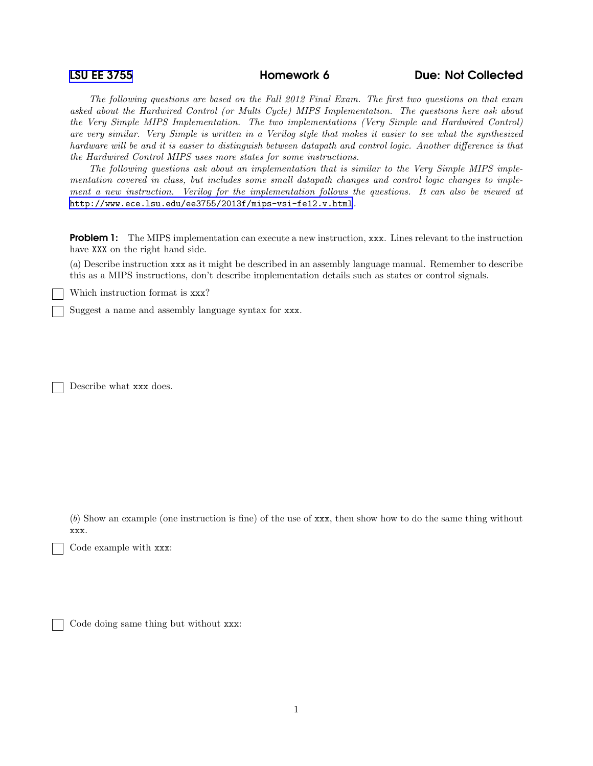[LSU EE 3755](http://www.ece.lsu.edu/ee3755/) Homework 6 Due: Not Collected

The following questions are based on the Fall 2012 Final Exam. The first two questions on that exam asked about the Hardwired Control (or Multi Cycle) MIPS Implementation. The questions here ask about the Very Simple MIPS Implementation. The two implementations (Very Simple and Hardwired Control) are very similar. Very Simple is written in a Verilog style that makes it easier to see what the synthesized hardware will be and it is easier to distinguish between datapath and control logic. Another difference is that the Hardwired Control MIPS uses more states for some instructions.

The following questions ask about an implementation that is similar to the Very Simple MIPS implementation covered in class, but includes some small datapath changes and control logic changes to implement a new instruction. Verilog for the implementation follows the questions. It can also be viewed at <http://www.ece.lsu.edu/ee3755/2013f/mips-vsi-fe12.v.html>.

**Problem 1:** The MIPS implementation can execute a new instruction, xxx. Lines relevant to the instruction have XXX on the right hand side.

(a) Describe instruction xxx as it might be described in an assembly language manual. Remember to describe this as a MIPS instructions, don't describe implementation details such as states or control signals.

Which instruction format is xxx?

Suggest a name and assembly language syntax for xxx.

Describe what xxx does.

(b) Show an example (one instruction is fine) of the use of xxx, then show how to do the same thing without xxx.

Code example with xxx:

Code doing same thing but without xxx: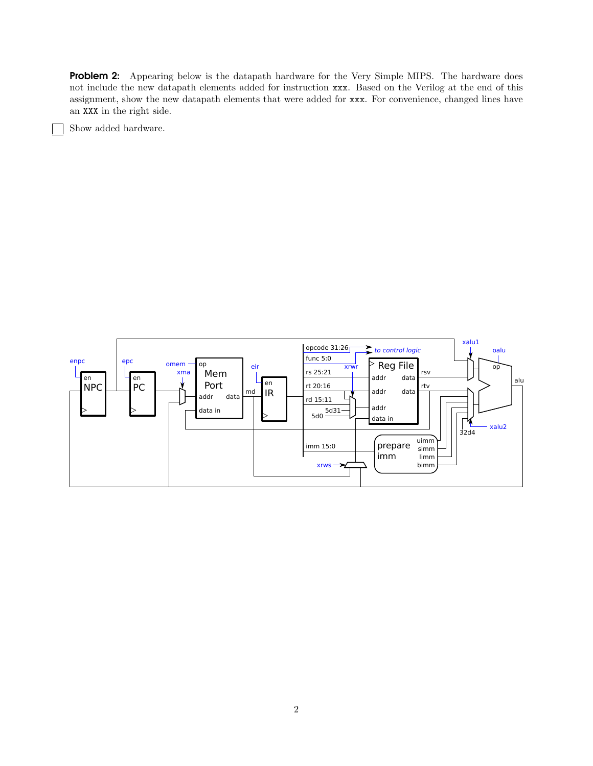**Problem 2:** Appearing below is the datapath hardware for the Very Simple MIPS. The hardware does not include the new datapath elements added for instruction xxx. Based on the Verilog at the end of this assignment, show the new datapath elements that were added for xxx. For convenience, changed lines have an XXX in the right side.

Show added hardware.

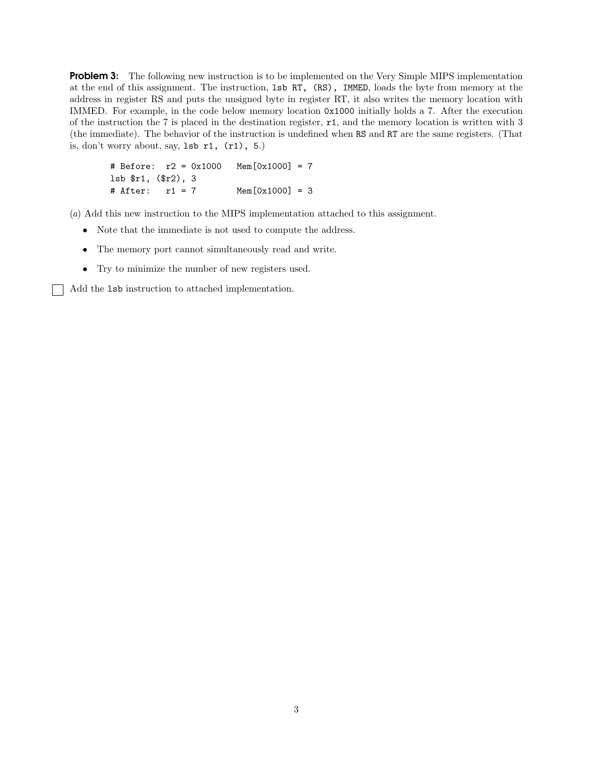**Problem 3:** The following new instruction is to be implemented on the Very Simple MIPS implementation at the end of this assignment. The instruction, lsb RT, (RS), IMMED, loads the byte from memory at the address in register RS and puts the unsigned byte in register RT, it also writes the memory location with IMMED. For example, in the code below memory location 0x1000 initially holds a 7. After the execution of the instruction the 7 is placed in the destination register, r1, and the memory location is written with 3 (the immediate). The behavior of the instruction is undefined when RS and RT are the same registers. (That is, don't worry about, say,  $1sb$  r1,  $(r1)$ , 5.)

# Before: r2 = 0x1000 Mem[0x1000] = 7 lsb \$r1, (\$r2), 3 # After: r1 = 7 Mem[0x1000] = 3

(a) Add this new instruction to the MIPS implementation attached to this assignment.

- Note that the immediate is not used to compute the address.
- The memory port cannot simultaneously read and write.
- Try to minimize the number of new registers used.

Add the lsb instruction to attached implementation.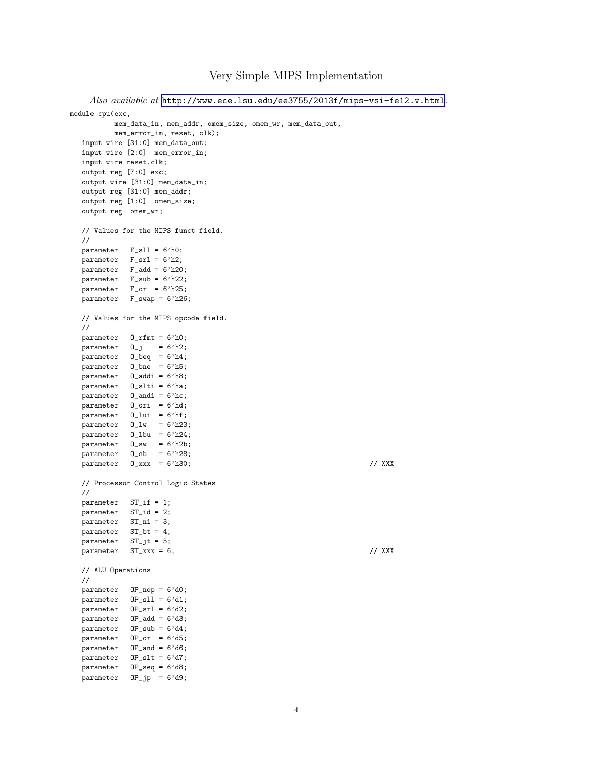## Very Simple MIPS Implementation

```
Also available at http://www.ece.lsu.edu/ee3755/2013f/mips-vsi-fe12.v.html.
module cpu(exc,
          mem_data_in, mem_addr, omem_size, omem_wr, mem_data_out,
          mem_error_in, reset, clk);
  input wire [31:0] mem_data_out;
  input wire [2:0] mem_error_in;
  input wire reset,clk;
  output reg [7:0] exc;
  output wire [31:0] mem_data_in;
  output reg [31:0] mem_addr;
  output reg [1:0] omem_size;
  output reg omem_wr;
  // Values for the MIPS funct field.
  //
  parameter F_sll = 6'h0;
  parameter F_ssrl = 6'h2;
  parameter F_add = 6'h20;
  parameter F_sub = 6'h22;
  parameter F_orr = 6'h25;parameter F_swap = 6'h26;
  // Values for the MIPS opcode field.
  //
  parameter O_rfmt = 6'h0;
   parameter \t 0_j = 6'h2;parameter O_beq = 6'h4;
  \bar{p} parameter 0_b = 6'h5;
  parameter O_addi = 6'h8;
  parameter O_slti = 6'ha;
  parameter O_andi = 6'hc;
  parameter O_ori = 6'hd;
  \label{eq:parameter} parameter <br> \quad 0_lui \quad = 6'hf;
  parameter 0_l w = 6'h23;parameter O_lbu = 6'h24;
   parameter O_sw = 6'h2b;
   parameter O_sb = 6'h28;
  \frac{1}{2} parameter 0 \_xxx = 6' h30; // XXX
  // Processor Control Logic States
  //
  parameter ST_if = 1;
  parameter ST_id = 2;
  parameter ST_ni = 3;
  parameter ST_bt = 4;
   parameter ST_jt = 5;
   parameter ST_xxx = 6; // XXX
  // ALU Operations
  //
  parameter OP_nop = 6'd0;
  parameter OP_sll = 6'd1;
  parameter \tOP_srl = 6'd2:
  parameter OP<sub>-add</sub> = 6'd3;
   parameter OP_sub = 6'd4;
   parameter OP_or = 6'd5;
  parameter OP_and = 6'd6;
  \frac{1}{\text{parameter}} OP_slt = 6'd7;
  parameter 0P_seq = 6'd8;
  parameter OP<sub>-</sub>jp = 6'd9;
```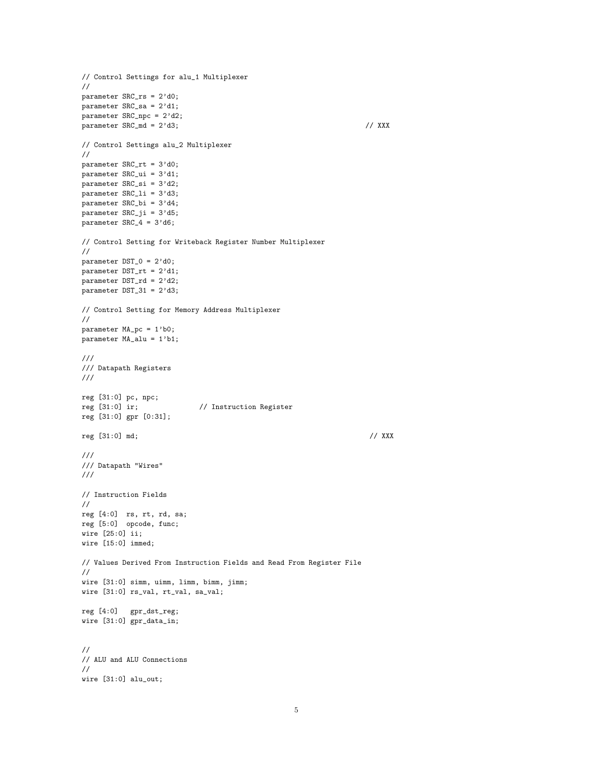```
// Control Settings for alu_1 Multiplexer
//
parameter SRC_rs = 2'd0;
parameter SRC_sa = 2'd1;
parameter SRC_npc = 2'd2;
parameter SRC\_md = 2'd3; // XXX// Control Settings alu_2 Multiplexer
//
parameter SRC_rt = 3'd0;
parameter SRC_ui = 3'd1;
parameter SRC_si = 3'd2;
parameter SRC_li = 3'd3;
\bar{p}arameter SRC_bi = 3'd4;
parameter SRC_ji = 3'd5;
parameter SRC_4 = 3'd6;// Control Setting for Writeback Register Number Multiplexer
//
parameter DST_0 = 2'd0;
parameter DST_rt = 2'd1;
parameter DST_rd = 2'd2;
parameter DST_31 = 2'd3;
// Control Setting for Memory Address Multiplexer
//
parameter MA_pc = 1'b0;
parameter MA_alu = 1'b1;
///
/// Datapath Registers
///
reg [31:0] pc, npc;
reg [31:0] ir; // Instruction Register
reg [31:0] gpr [0:31];
reg [31:0] md; // XXX
///
/// Datapath "Wires"
///
// Instruction Fields
//
reg [4:0] rs, rt, rd, sa;
reg [5:0] opcode, func;
wire [25:0] ii;
wire [15:0] immed;
// Values Derived From Instruction Fields and Read From Register File
//
wire [31:0] simm, uimm, limm, bimm, jimm;
wire [31:0] rs_val, rt_val, sa_val;
reg [4:0] gpr_dst_reg;
wire [31:0] gpr_data_in;
//
// ALU and ALU Connections
//
wire [31:0] alu_out;
```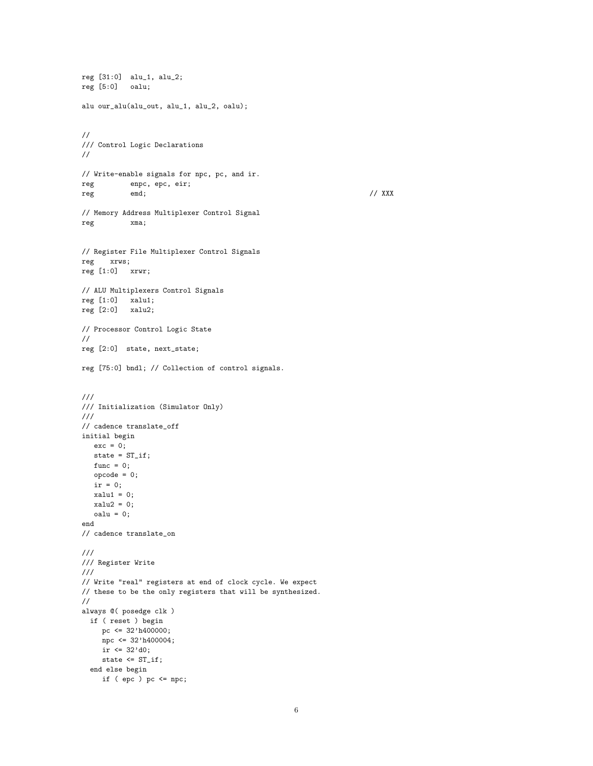```
reg [31:0] alu_1, alu_2;
reg [5:0] oalu;
alu our_alu(alu_out, alu_1, alu_2, oalu);
//
/// Control Logic Declarations
//
// Write-enable signals for npc, pc, and ir.
reg enpc, epc, eir;
reg emd; and emergency emergency and the emergency of \ell / XXX
// Memory Address Multiplexer Control Signal
reg xma;
// Register File Multiplexer Control Signals
reg xrws;
reg [1:0] xrwr;
// ALU Multiplexers Control Signals
reg [1:0] xall1;reg [2:0] xalu2;
// Processor Control Logic State
//
reg [2:0] state, next_state;
reg [75:0] bndl; // Collection of control signals.
///
/// Initialization (Simulator Only)
///
// cadence translate_off
initial begin
  exc = 0;state = ST_if;
  func = 0;opcode = 0;
  ir = 0;
  xalu1 = 0;xalu2 = 0;
  oalu = 0;
end
// cadence translate_on
///
/// Register Write
///
// Write "real" registers at end of clock cycle. We expect
// these to be the only registers that will be synthesized.
//
always @( posedge clk )
 if ( reset ) begin
    pc <= 32'h400000;
    npc <= 32'h400004;
    ir \leq 32' d0;state <= ST_if;
  end else begin
    if ( epc ) pc \leq npc;
```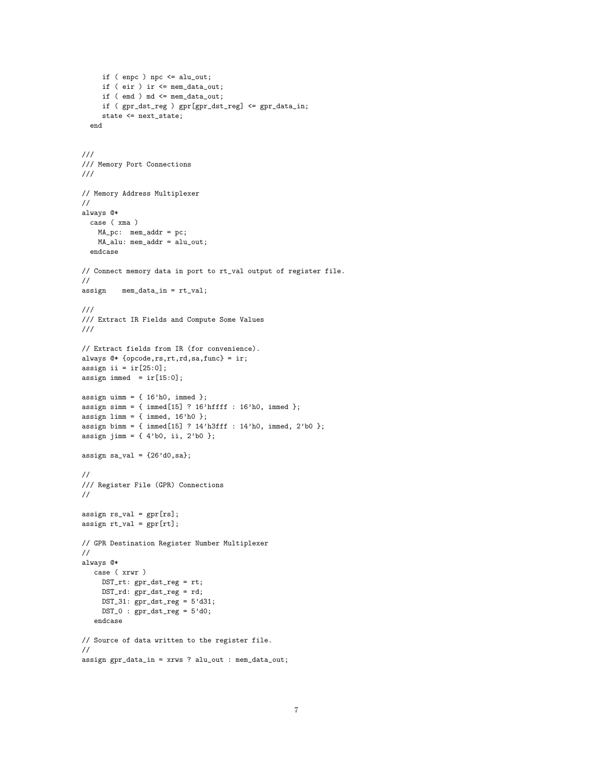```
if ( enpc ) npc \leq alu_out;if ( eir ) ir <= mem_data_out;
     if ( emd ) md <= mem_data_out;
     if ( gpr_dst_reg ) gpr[gpr_dst_reg] <= gpr_data_in;
     state <= next_state;
  end
///
/// Memory Port Connections
///
// Memory Address Multiplexer
//
always @*
 case ( xma )
   MA_pc: mem_addr = pc;
   MA_alu: mem_addr = alu_out;
  endcase
// Connect memory data in port to rt_val output of register file.
//
assign mem_data_in = rt_val;
///
/// Extract IR Fields and Compute Some Values
///
// Extract fields from IR (for convenience).
always @* {opcode,rs,rt,rd,sa,func} = ir;
assign ii = ir[25:0];
assign immed = ir[15:0];
assign uimm = \{ 16'h0, \text{immed } \};assign simm = { immed[15] ? 16'hffff : 16'h0, immed };
assign limm = \{ \text{immed, } 16'h0 \};
assign bimm = \{ \text{immed}[15] ? 14'h3fff : 14'h0, \text{immed}, 2'b0 \};assign jimm = { 4'b0, ii, 2'b0 };
assign sa_val = {26' d0, s};
//
/// Register File (GPR) Connections
//
assign rs_val = gpr[rs];
assign rt_val = gpr[rt];// GPR Destination Register Number Multiplexer
//
always @*
  case ( xrwr )
    DST_rt: gpr_dst_reg = rt;
    DST_rd: gpr_dst_reg = rd;
    DST_31: gpr\_dst\_reg = 5' d31;DST_0 : gpr\_dst\_reg = 5'd0;
   endcase
// Source of data written to the register file.
//
assign gpr_data_in = xrws ? alu_out : mem_data_out;
```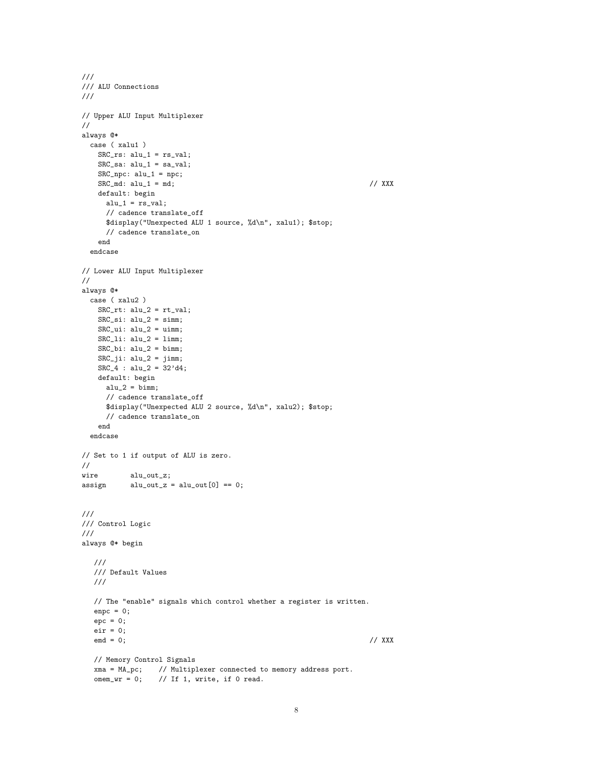```
///
/// ALU Connections
///
// Upper ALU Input Multiplexer
//
always @*
 case ( xalu1 )
   SRC\_rs: alu_1 = rs\_val;SRC\_sa: alu_1 = sa_val;SRC_npc: alu_1 = npc;
   SRC\_md: alu_1 = md; // XXX
   default: begin
     alu_1 = rs_val;// cadence translate_off
     $display("Unexpected ALU 1 source, %d\n", xalu1); $stop;
     // cadence translate_on
   end
 endcase
// Lower ALU Input Multiplexer
//
always @*
 case ( xalu2 )
   SRC\_rt: alu_2 = rt\_val;SRC\_si: alu_2 = simm;SRC\_ui: alu_2 = uimm;SRC\_li: alu_2 = limm;SRC_bi: alu_2 = bimm;
   SRC_ji: alu_2 = jimm;SRC_4 : alu_2 = 32'd4;default: begin
     alu_2 = bimm;// cadence translate_off
     $display("Unexpected ALU 2 source, %d\n", xalu2); $stop;
     // cadence translate_on
   end
 endcase
// Set to 1 if output of ALU is zero.
//
wire alu_out_z;
\text{assign} \qquad \text{alu\_out\_z = alu\_out[0] == 0};///
/// Control Logic
///
always @* begin
  ///
  /// Default Values
  ///
  // The "enable" signals which control whether a register is written.
  enpc = 0;
  epc = 0;eir = 0;emd = 0; // XXX
  // Memory Control Signals
  xma = MA_pc; // Multiplexer connected to memory address port.
  omem_wr = 0; // If 1, write, if 0 read.
```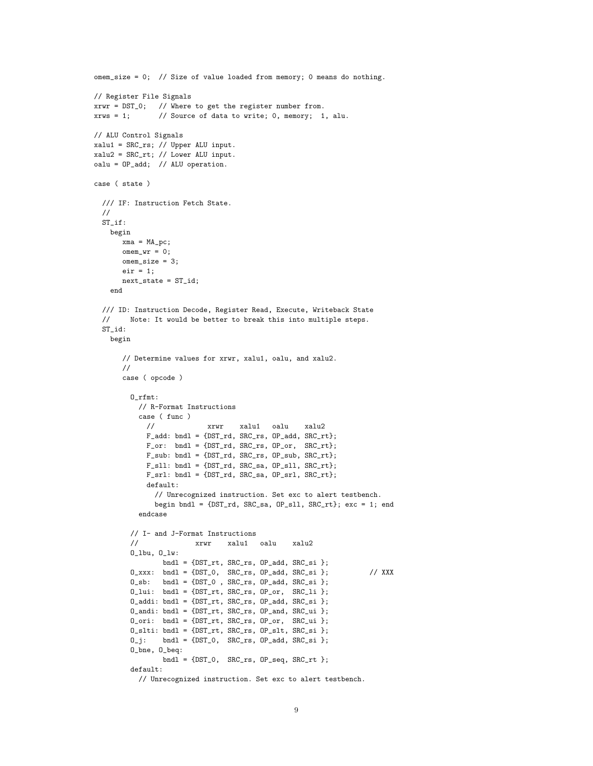```
omem_size = 0; // Size of value loaded from memory; 0 means do nothing.
// Register File Signals
xrwr = DST_0; // Where to get the register number from.
xrws = 1; // Source of data to write; 0, memory; 1, alu.
// ALU Control Signals
xalu1 = SRC_rs; // Upper ALU input.
xalu2 = SRC_rt; // Lower ALU input.
oalu = OP_add; // ALU operation.
case ( state )
 /// IF: Instruction Fetch State.
 //
 ST_if:
   begin
     xma = MA_pc;
      omen\_wr = 0;omem_size = 3;
      eir = 1;next_state = ST_id;
   end
 /// ID: Instruction Decode, Register Read, Execute, Writeback State
 // Note: It would be better to break this into multiple steps.
 ST_id:
   begin
      // Determine values for xrwr, xalu1, oalu, and xalu2.
      //
      case ( opcode )
        O_rfmt:
          // R-Format Instructions
          case ( func )
           // xrwr xalu1 oalu xalu2
            F_add: bndl = {DST_rd, SRC_rs, OP_add, SRC_rt};
            F_or: bndl = {DST_rd, SRC_rs, OP_or, SRC_rt};
            F_sub: bndl = {DST_rd, SRC_rs, OP_sub, SRC_rt};
            F_sll: bndl = {DST_rd, SRC_sa, OP_sll, SRC_rt};
            F_srl: bndl = {DST_rd, SRC_sa, OP_srl, SRC_rt};
            default:
              // Unrecognized instruction. Set exc to alert testbench.
              begin bndl = {DST_rd, SRC_sa, OP_sll, SRC_rt}; exc = 1; end
          endcase
        // I- and J-Format Instructions
        // xrwr xalu1 oalu xalu2
        O_lbu, O_lw:
               bndl = {DST_rt, SRC_rs, OP_add, SRC_si };
        0_xxx: bndl = {DST_0}, SRC\_rs, OP\_add, SRC\_si }; // XXXO_sb: bndl = {DST_0 , SRC_rs, OP_add, SRC_si };
        O_lui: bndl = {DST_rt, SRC_rs, OP_or, SRC_li };
        0_addi: bndl = {DST_rt, SRC_rs, OP_add, SRC_si };
        O_andi: bndl = {DST_rt, SRC_rs, OP_and, SRC_ui };
        0_0ri: bndl = \{DST\_rt, SRC\_rs, OP\_or, SRC\_ui\};O_slti: bndl = {DST_rt, SRC_rs, OP_slt, SRC_si };
        0_j: bndl = {DST_0, SRC_rs, OP_add, SRC_si };
        O_bne, O_beq:
               bndl = {DST_0, SRC_rs, OP_seq, SRC_rt };
        default:
          // Unrecognized instruction. Set exc to alert testbench.
```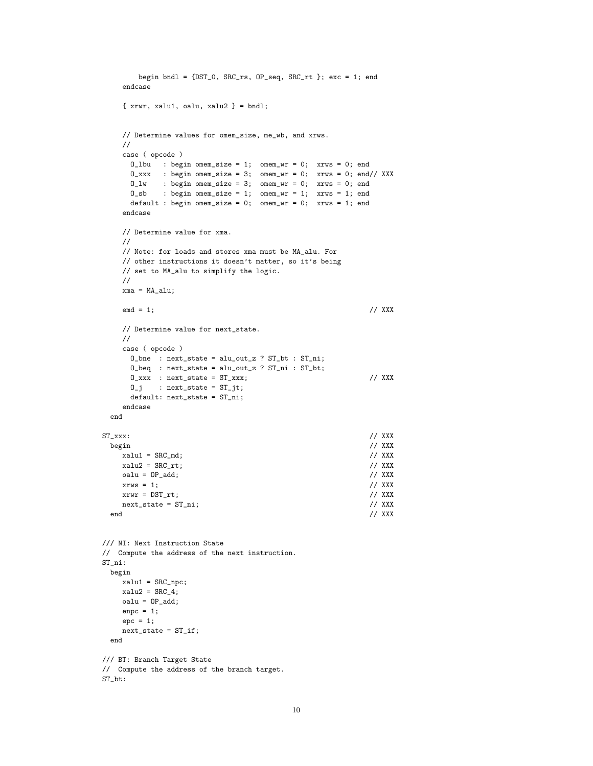```
begin bndl = {DST_0, SRC_rrs, OP_seq, SRC_rrt}; exc = 1; end
    endcase
    \{ xrwr, xalu1, oalu, xalu2 \} = bnd1;// Determine values for omem_size, me_wb, and xrws.
    //
    case ( opcode )
      O_lbu : begin omem_size = 1; omem_wr = 0; xrws = 0; end
      0_xxxx : begin omem_size = 3; omem_wr = 0; xrws = 0; end// XXX
      O_lw : begin omem_size = 3; omem_wr = 0; xrws = 0; end
      O_sb : begin omem_size = 1; omem_wr = 1; xrws = 1; end
      default : begin omem_size = 0; omem_wr = 0; xrws = 1; end
    endcase
    // Determine value for xma.
    //
    // Note: for loads and stores xma must be MA_alu. For
    // other instructions it doesn't matter, so it's being
    // set to MA_alu to simplify the logic.
    //
    xma = MA_alu;
    emd = 1; // XXX
    // Determine value for next_state.
    //
    case ( opcode )
      O_bne : next_state = alu_out_z ? ST_bt : ST_ni;
      O_beq : next_state = alu_out_z ? ST_ni : ST_bt;
      0_1xxx : next_state = ST_xxx; // XXX
      0_j : next_state = ST_jt;
      default: next_state = ST_ni;
    endcase
 end
ST\_xxxx: // XXX
  begin // XXX
    xalu1 = SRC_md; \frac{1}{2} // XXX
    x \text{alu2} = \text{SRC\_rt}; // XXX
    \text{oalu} = \text{OP}_\text{add}; \frac{1}{2} // XXX
    xrws = 1; \angle/ XXX<br>xrwr = DST_rt; \angle/ XXX
    xrwr = DST\_rt; <br>next_state = ST\_ni; <br>// XXX
    next\_state = ST\_ni;<br>d // XXX
  end the contract of the contract of the contract of the contract of the contract of the contract of the contract of the contract of the contract of the contract of the contract of the contract of the contract of the contra
/// NI: Next Instruction State
// Compute the address of the next instruction.
ST_ni:
 begin
    xalu1 = SRC_npc;
    xalu2 = SRC_4;
    oalu = OP<sub>-</sub>add;
    enpc = 1;
    epc = 1;
    next\_state = ST_iend
/// BT: Branch Target State
// Compute the address of the branch target.
ST_bt:
```

```
10
```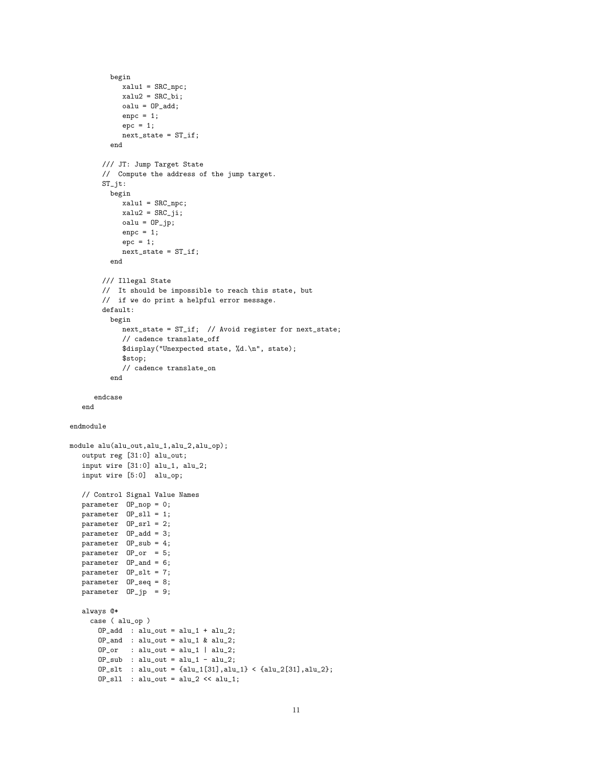```
begin
             xalu1 = SRC_npc;
             xalu2 = SRC_bi;
             oalu = OP<sub>-</sub>add;
             enpc = 1;
             epc = 1;next\_state = ST_iend
        /// JT: Jump Target State
        // Compute the address of the jump target.
        ST_jt:
          begin
             xalu1 = SRC_npc;
             xalu2 = SRC_ji;
             oalu = 0P_jp;
             enpc = 1;epc = 1;
             next\_state = ST_iend
        /// Illegal State
        // It should be impossible to reach this state, but
        // if we do print a helpful error message.
        default:
          begin
             next_state = ST_if; // Avoid register for next_state;
              // cadence translate_off
             $display("Unexpected state, %d.\n", state);
             $stop;
              // cadence translate_on
           end
      endcase
   end
endmodule
module alu(alu_out,alu_1,alu_2,alu_op);
   output reg [31:0] alu_out;
   input wire [31:0] alu_1, alu_2;
   input wire [5:0] alu_op;
   // Control Signal Value Names
   parameter OP_nop = 0;
   parameter OP_sll = 1;
   parameter OP_srl = 2;
   parameter OP_add = 3;
   parameter OP_sub = 4;
   parameter OP_or = 5;
   parameter OP_and = 6;
   parameter OP_slt = 7;
   parameter OP_seq = 8;
   parameter OP_jp = 9;
   always @*
     case ( alu_op )
       OP<sub>-</sub>add : alu_out = alu_1 + alu_2;
       OP<sub>-</sub>and : alu_out = alu_1 & alu_2;
       \texttt{OP\_or} \qquad : \texttt{alu\_out} = \texttt{alu\_1} \ | \texttt{alu\_2};{\tt OP\_sub} \ : \ {\tt alu\_out} = {\tt alu\_1} - {\tt alu\_2};OP_slt : alu_out = {alu_1[31],alu_1} < {alu_2[31],alu_2};
        OP\_s11 : alu_out = alu_2 << alu_1;
```